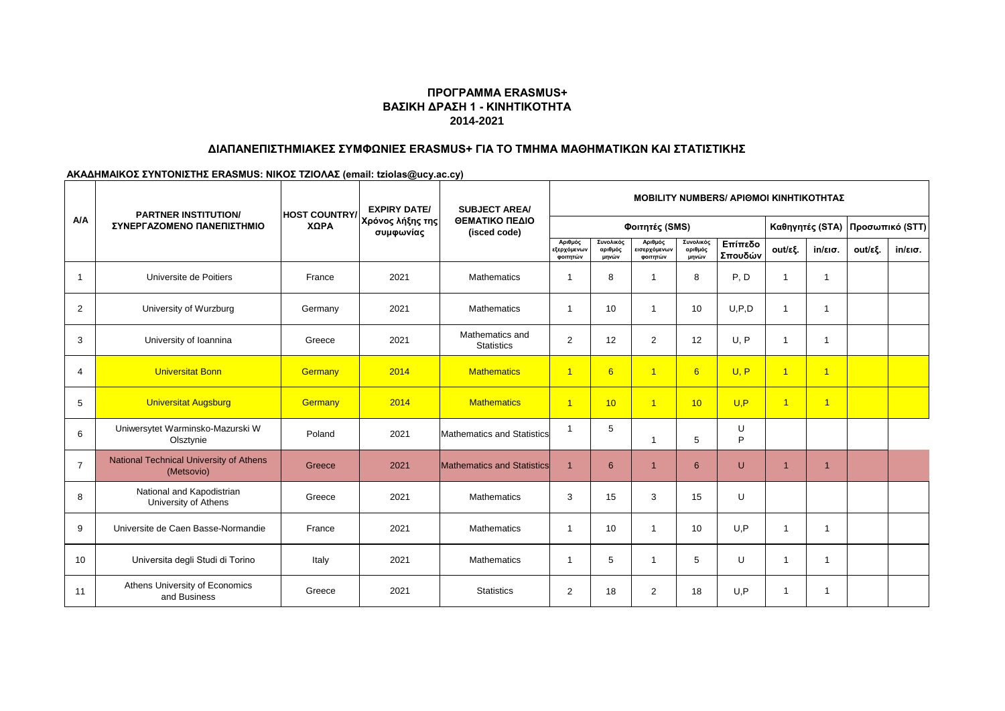# **ΒΑΣΙΚΗ ΔΡΑΣΗ 1 - ΚΙΝΗΤΙΚΟΤΗΤΑ 2014-2021 ΠΡΟΓΡΑΜΜΑ ERASMUS+**

### **ΔΙΑΠΑΝΕΠΙΣΤΗΜΙΑΚΕΣ ΣΥΜΦΩΝΙΕΣ ERASMUS+ ΓΙΑ ΤΟ ΤΜΗΜΑ ΜΑΘΗΜΑΤΙΚΩΝ ΚΑΙ ΣΤΑΤΙΣΤΙΚΗΣ**

**ΑΚΑΔΗΜΑΙΚΟΣ ΣΥΝΤΟΝΙΣΤΗΣ ERASMUS: ΝΙΚΟΣ ΤΖΙΟΛΑΣ (email: tziolas@ucy.ac.cy)**

|                | <b>PARTNER INSTITUTION/</b>                                  | <b>HOST COUNTRY/</b> | <b>EXPIRY DATE/</b>           | <b>SUBJECT AREA/</b>                 |                                    |                               |                                     |                               |                    | <b>MOBILITY NUMBERS/ APIOMOI KINHTIKOTHTAZ</b> |                 |         |                                      |
|----------------|--------------------------------------------------------------|----------------------|-------------------------------|--------------------------------------|------------------------------------|-------------------------------|-------------------------------------|-------------------------------|--------------------|------------------------------------------------|-----------------|---------|--------------------------------------|
| A/A            | ΣΥΝΕΡΓΑΖΟΜΕΝΟ ΠΑΝΕΠΙΣΤΗΜΙΟ                                   | ΧΩΡΑ                 | Χρόνος λήξης της<br>συμφωνίας | ΘΕΜΑΤΙΚΟ ΠΕΔΙΟ<br>(isced code)       |                                    |                               | Φοιτητές (SMS)                      |                               |                    |                                                | Καθηγητές (STA) |         |                                      |
|                |                                                              |                      |                               |                                      | Αριθμός<br>εξερχόμενων<br>φοιτητών | Συνολικός<br>αριθμός<br>μηνών | Αριθμός<br>εισερχόμενων<br>φοιτητών | Συνολικός<br>αριθμός<br>μηνών | Επίπεδο<br>Σπουδών | out/εξ.                                        | in/εισ.         | out/εξ. | Προσωπικό (STT)<br>$in/\epsilon$ ισ. |
| $\mathbf{1}$   | Universite de Poitiers                                       | France               | 2021                          | <b>Mathematics</b>                   | $\mathbf{1}$                       | 8                             |                                     | 8                             | P, D               | $\mathbf{1}$                                   | $\mathbf{1}$    |         |                                      |
| 2              | University of Wurzburg                                       | Germany              | 2021                          | <b>Mathematics</b>                   | $\mathbf{1}$                       | 10                            | -1                                  | 10                            | U.P.D              | $\mathbf{1}$                                   | -1              |         |                                      |
| 3              | University of Ioannina                                       | Greece               | 2021                          | Mathematics and<br><b>Statistics</b> | $\overline{2}$                     | 12                            | $\overline{2}$                      | 12                            | U. P               | $\mathbf{1}$                                   | $\mathbf{1}$    |         |                                      |
| $\overline{4}$ | <b>Universitat Bonn</b>                                      | Germany              | 2014                          | <b>Mathematics</b>                   | $\overline{1}$                     | 6                             | $\overline{1}$                      | 6                             | U, P               | $\overline{1}$                                 | $\overline{1}$  |         |                                      |
| 5              | <b>Universitat Augsburg</b>                                  | Germany              | 2014                          | <b>Mathematics</b>                   | $\overline{1}$                     | 10 <sup>1</sup>               | $\overline{1}$                      | 10                            | U.P                | $\overline{1}$                                 | $\overline{1}$  |         |                                      |
| 6              | Uniwersytet Warminsko-Mazurski W<br>Olsztynie                | Poland               | 2021                          | <b>Mathematics and Statistics</b>    | $\mathbf{1}$                       | 5                             | -1                                  | 5                             | U<br>P             |                                                |                 |         |                                      |
| $\overline{7}$ | <b>National Technical University of Athens</b><br>(Metsovio) | Greece               | 2021                          | <b>Mathematics and Statistics</b>    | $\overline{1}$                     | 6                             | $\overline{1}$                      | 6                             | U                  |                                                | $\overline{1}$  |         |                                      |
| 8              | National and Kapodistrian<br>University of Athens            | Greece               | 2021                          | <b>Mathematics</b>                   | 3                                  | 15                            | 3                                   | 15                            | U                  |                                                |                 |         |                                      |
| 9              | Universite de Caen Basse-Normandie                           | France               | 2021                          | <b>Mathematics</b>                   | $\mathbf{1}$                       | 10                            | -1                                  | 10                            | U, P               | 1                                              | -1              |         |                                      |
| 10             | Universita degli Studi di Torino                             | Italy                | 2021                          | <b>Mathematics</b>                   | -1                                 | 5                             | -1                                  | 5                             | U                  | 1                                              |                 |         |                                      |
| 11             | Athens University of Economics<br>and Business               | Greece               | 2021                          | <b>Statistics</b>                    | $\overline{2}$                     | 18                            | $\overline{2}$                      | 18                            | U, P               | 1                                              |                 |         |                                      |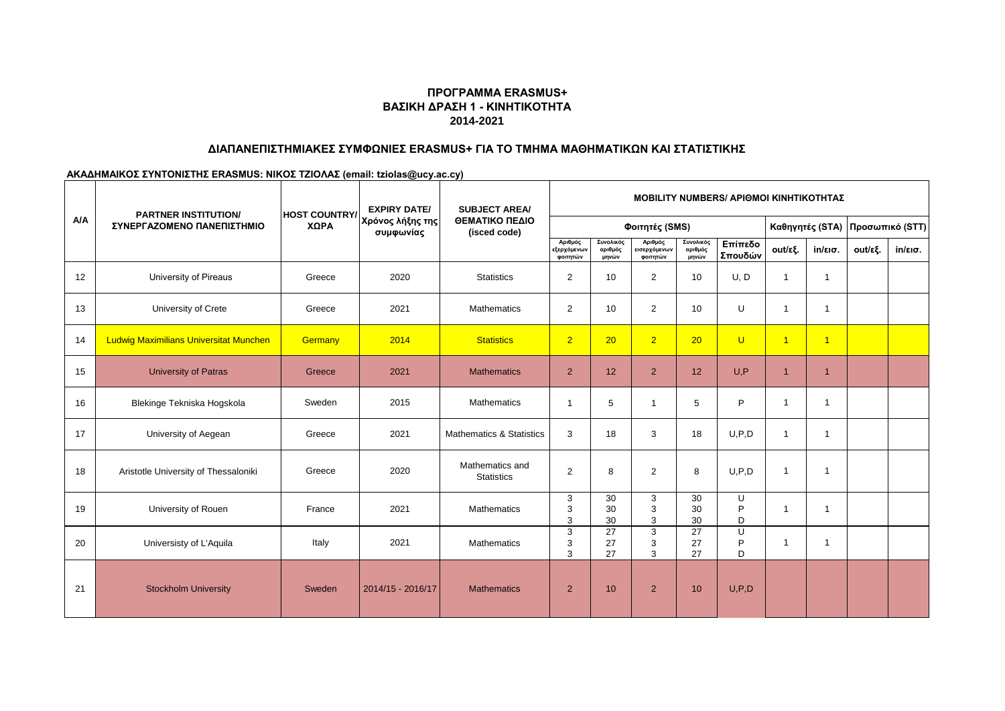# **ΒΑΣΙΚΗ ΔΡΑΣΗ 1 - ΚΙΝΗΤΙΚΟΤΗΤΑ 2014-2021 ΠΡΟΓΡΑΜΜΑ ERASMUS+**

### **ΔΙΑΠΑΝΕΠΙΣΤΗΜΙΑΚΕΣ ΣΥΜΦΩΝΙΕΣ ERASMUS+ ΓΙΑ ΤΟ ΤΜΗΜΑ ΜΑΘΗΜΑΤΙΚΩΝ ΚΑΙ ΣΤΑΤΙΣΤΙΚΗΣ**

**ΑΚΑΔΗΜΑΙΚΟΣ ΣΥΝΤΟΝΙΣΤΗΣ ERASMUS: ΝΙΚΟΣ ΤΖΙΟΛΑΣ (email: tziolas@ucy.ac.cy)**

|     | <b>PARTNER INSTITUTION/</b>                   | <b>HOST COUNTRY/</b> | <b>EXPIRY DATE/</b>           | <b>SUBJECT AREA/</b>                 | <b>MOBILITY NUMBERS/ APIOMOI KINHTIKOTHTAΣ</b> |                               |                                     |                               |                    |                |                         |                                 |                   |
|-----|-----------------------------------------------|----------------------|-------------------------------|--------------------------------------|------------------------------------------------|-------------------------------|-------------------------------------|-------------------------------|--------------------|----------------|-------------------------|---------------------------------|-------------------|
| A/A | ΣΥΝΕΡΓΑΖΟΜΕΝΟ ΠΑΝΕΠΙΣΤΗΜΙΟ                    | ΧΩΡΑ                 | Χρόνος λήξης της<br>συμφωνίας | ΘΕΜΑΤΙΚΟ ΠΕΔΙΟ<br>(isced code)       | Φοιτητές (SMS)                                 |                               |                                     |                               |                    |                |                         | Καθηγητές (STA) Προσωπικό (STT) |                   |
|     |                                               |                      |                               |                                      | Αριθμός<br>εξερχόμενων<br>φοιτητών             | Συνολικός<br>αριθμός<br>μηνών | Αριθμός<br>εισερχόμενων<br>φοιτητών | Συνολικός<br>αριθμός<br>μηνών | Επίπεδο<br>Σπουδών | out/εξ.        | $in/\epsilon$ ισ.       | out/εξ.                         | $in/\epsilon$ ισ. |
| 12  | University of Pireaus                         | Greece               | 2020                          | <b>Statistics</b>                    | $\overline{2}$                                 | 10                            | 2                                   | 10                            | U, D               | -1             |                         |                                 |                   |
| 13  | University of Crete                           | Greece               | 2021                          | <b>Mathematics</b>                   | 2                                              | 10                            | $\overline{2}$                      | 10                            | U                  | $\mathbf{1}$   | $\overline{\mathbf{1}}$ |                                 |                   |
| 14  | <b>Ludwig Maximilians Universitat Munchen</b> | Germany              | 2014                          | <b>Statistics</b>                    | $\overline{2}$                                 | 20                            | $\overline{2}$                      | 20                            | $\cup$             | $\overline{1}$ | $\blacktriangleleft$    |                                 |                   |
| 15  | <b>University of Patras</b>                   | Greece               | 2021                          | <b>Mathematics</b>                   | $\overline{2}$                                 | 12                            | $\overline{2}$                      | 12                            | U, P               | -1             | -1                      |                                 |                   |
| 16  | Blekinge Tekniska Hogskola                    | Sweden               | 2015                          | <b>Mathematics</b>                   | $\mathbf{1}$                                   | 5                             | $\overline{1}$                      | 5                             | P                  | -1             |                         |                                 |                   |
| 17  | University of Aegean                          | Greece               | 2021                          | <b>Mathematics &amp; Statistics</b>  | 3                                              | 18                            | 3                                   | 18                            | U, P, D            | $\mathbf{1}$   | -1                      |                                 |                   |
| 18  | Aristotle University of Thessaloniki          | Greece               | 2020                          | Mathematics and<br><b>Statistics</b> | $\overline{2}$                                 | 8                             | 2                                   | 8                             | U.P.D              | $\overline{1}$ | -1                      |                                 |                   |
| 19  | University of Rouen                           | France               | 2021                          | <b>Mathematics</b>                   | 3<br>3<br>3                                    | 30<br>30<br>30                | 3<br>3<br>3                         | 30<br>30<br>30                | U<br>P<br>D        | -1             |                         |                                 |                   |
| 20  | Universisty of L'Aquila                       | Italy                | 2021                          | <b>Mathematics</b>                   | 3<br>3<br>3                                    | 27<br>27<br>27                | 3<br>3<br>3                         | $\overline{27}$<br>27<br>27   | U<br>P<br>D        | -1             | $\overline{\mathbf{1}}$ |                                 |                   |
| 21  | <b>Stockholm University</b>                   | Sweden               | 2014/15 - 2016/17             | <b>Mathematics</b>                   | $\overline{2}$                                 | 10                            | 2                                   | 10                            | U.P.D              |                |                         |                                 |                   |